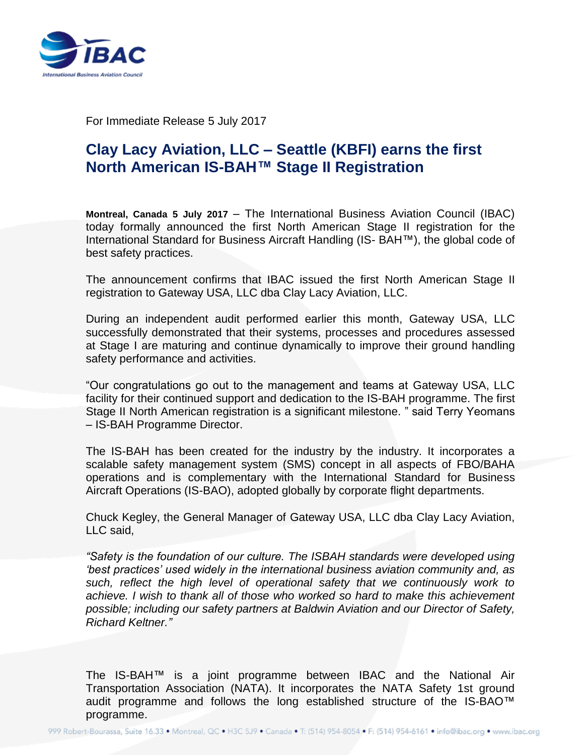

For Immediate Release 5 July 2017

## **Clay Lacy Aviation, LLC – Seattle (KBFI) earns the first North American IS-BAH™ Stage II Registration**

**Montreal, Canada 5 July 2017** – The International Business Aviation Council (IBAC) today formally announced the first North American Stage II registration for the International Standard for Business Aircraft Handling (IS- BAH™), the global code of best safety practices.

The announcement confirms that IBAC issued the first North American Stage II registration to Gateway USA, LLC dba Clay Lacy Aviation, LLC.

During an independent audit performed earlier this month, Gateway USA, LLC successfully demonstrated that their systems, processes and procedures assessed at Stage I are maturing and continue dynamically to improve their ground handling safety performance and activities.

"Our congratulations go out to the management and teams at Gateway USA, LLC facility for their continued support and dedication to the IS-BAH programme. The first Stage II North American registration is a significant milestone. " said Terry Yeomans – IS-BAH Programme Director.

The IS-BAH has been created for the industry by the industry. It incorporates a scalable safety management system (SMS) concept in all aspects of FBO/BAHA operations and is complementary with the International Standard for Business Aircraft Operations (IS-BAO), adopted globally by corporate flight departments.

Chuck Kegley, the General Manager of Gateway USA, LLC dba Clay Lacy Aviation, LLC said,

*"Safety is the foundation of our culture. The ISBAH standards were developed using 'best practices' used widely in the international business aviation community and, as such, reflect the high level of operational safety that we continuously work to achieve. I wish to thank all of those who worked so hard to make this achievement possible; including our safety partners at Baldwin Aviation and our Director of Safety, Richard Keltner."*

The IS-BAH™ is a joint programme between IBAC and the National Air Transportation Association (NATA). It incorporates the NATA Safety 1st ground audit programme and follows the long established structure of the IS-BAO™ programme.